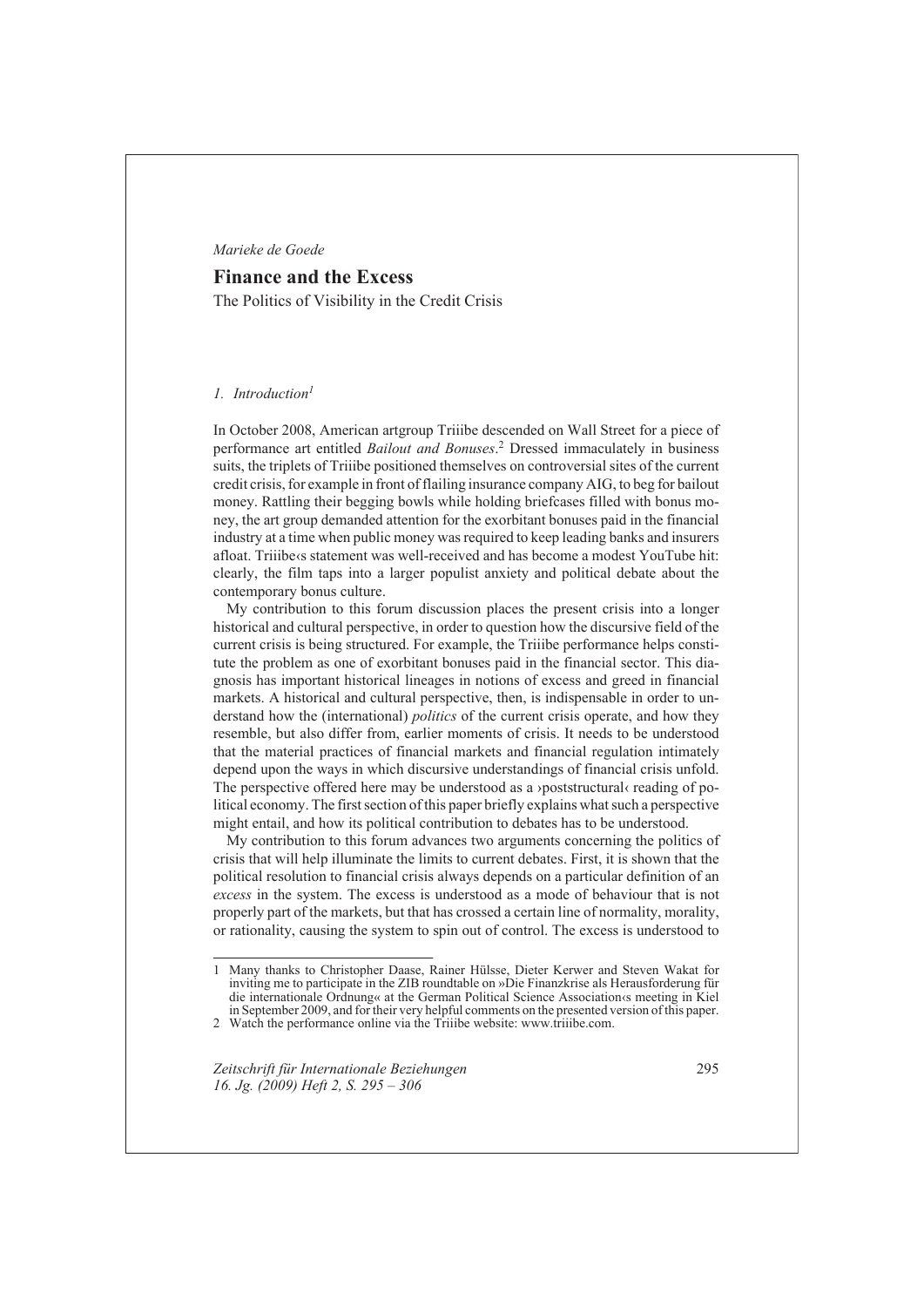# *Marieke de Goede*

# **Finance and the Excess**

The Politics of Visibility in the Credit Crisis

## *Introduction<sup>1</sup> 1.*

In October 2008, American artgroup Triiibe descended on Wall Street for a piece of performance art entitled *Bailout and Bonuses*. 2 Dressed immaculately in business suits, the triplets of Triiibe positioned themselves on controversial sites of the current credit crisis, for example in front of flailing insurance company AIG, to beg for bailout money. Rattling their begging bowls while holding briefcases filled with bonus money, the art group demanded attention for the exorbitant bonuses paid in the financial industry at a time when public money was required to keep leading banks and insurers afloat. Triiibe<br/>s statement was well-received and has become a modest YouTube hit: clearly, the film taps into a larger populist anxiety and political debate about the contemporary bonus culture.

My contribution to this forum discussion places the present crisis into a longer historical and cultural perspective, in order to question how the discursive field of the current crisis is being structured. For example, the Triiibe performance helps constitute the problem as one of exorbitant bonuses paid in the financial sector. This diagnosis has important historical lineages in notions of excess and greed in financial markets. A historical and cultural perspective, then, is indispensable in order to understand how the (international) *politics* of the current crisis operate, and how they resemble, but also differ from, earlier moments of crisis. It needs to be understood that the material practices of financial markets and financial regulation intimately depend upon the ways in which discursive understandings of financial crisis unfold. The perspective offered here may be understood as a ›poststructural‹ reading of political economy. The first section of this paper briefly explains what such a perspective might entail, and how its political contribution to debates has to be understood.

My contribution to this forum advances two arguments concerning the politics of crisis that will help illuminate the limits to current debates. First, it is shown that the political resolution to financial crisis always depends on a particular definition of an *excess* in the system. The excess is understood as a mode of behaviour that is not properly part of the markets, but that has crossed a certain line of normality, morality, or rationality, causing the system to spin out of control. The excess is understood to

2 Watch the performance online via the Triiibe website: www.triiibe.com.

*Zeitschrift für Internationale Beziehungen 16. Jg. (2009) Heft 2, S. 295 – 306*

<sup>1</sup> Many thanks to Christopher Daase, Rainer Hülsse, Dieter Kerwer and Steven Wakat for inviting me to participate in the ZIB roundtable on »Die Finanzkrise als Herausforderung für die internationale Ordnung« at the German Political Science Association‹s meeting in Kiel in September 2009, and for their very helpful comments on the presented version of this paper.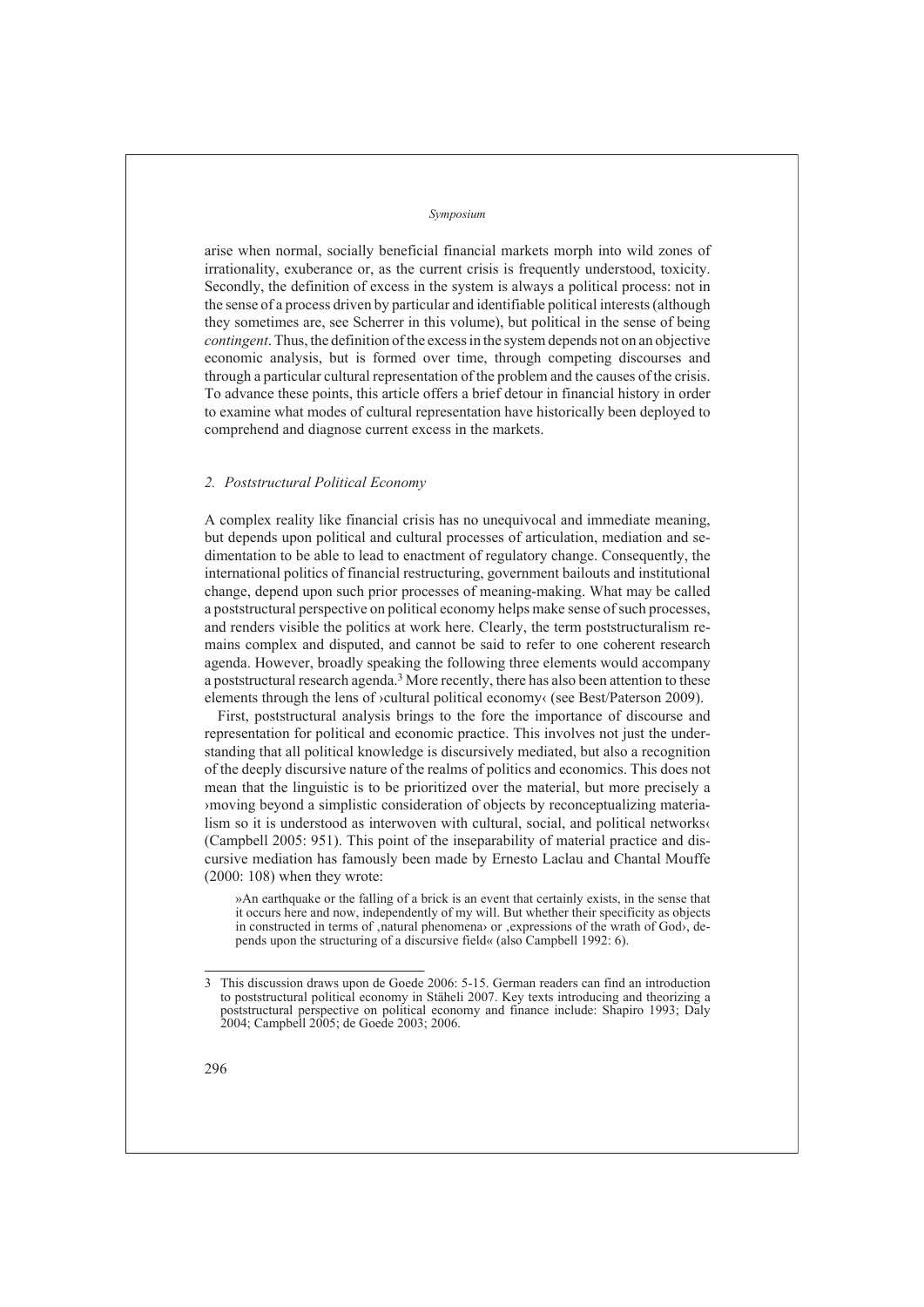arise when normal, socially beneficial financial markets morph into wild zones of irrationality, exuberance or, as the current crisis is frequently understood, toxicity. Secondly, the definition of excess in the system is always a political process: not in the sense of a process driven by particular and identifiable political interests (although they sometimes are, see Scherrer in this volume), but political in the sense of being *contingent*. Thus, the definition of the excess in the system depends not on an objective economic analysis, but is formed over time, through competing discourses and through a particular cultural representation of the problem and the causes of the crisis. To advance these points, this article offers a brief detour in financial history in order to examine what modes of cultural representation have historically been deployed to comprehend and diagnose current excess in the markets.

## *Poststructural Political Economy 2.*

A complex reality like financial crisis has no unequivocal and immediate meaning, but depends upon political and cultural processes of articulation, mediation and sedimentation to be able to lead to enactment of regulatory change. Consequently, the international politics of financial restructuring, government bailouts and institutional change, depend upon such prior processes of meaning-making. What may be called a poststructural perspective on political economy helps make sense of such processes, and renders visible the politics at work here. Clearly, the term poststructuralism remains complex and disputed, and cannot be said to refer to one coherent research agenda. However, broadly speaking the following three elements would accompany a poststructural research agenda.<sup>3</sup> More recently, there has also been attention to these elements through the lens of >cultural political economy‹ (see Best/Paterson 2009).

First, poststructural analysis brings to the fore the importance of discourse and representation for political and economic practice. This involves not just the understanding that all political knowledge is discursively mediated, but also a recognition of the deeply discursive nature of the realms of politics and economics. This does not mean that the linguistic is to be prioritized over the material, but more precisely a ›moving beyond a simplistic consideration of objects by reconceptualizing materialism so it is understood as interwoven with cultural, social, and political networks‹ (Campbell 2005: 951). This point of the inseparability of material practice and discursive mediation has famously been made by Ernesto Laclau and Chantal Mouffe (2000: 108) when they wrote:

»An earthquake or the falling of a brick is an event that certainly exists, in the sense that it occurs here and now, independently of my will. But whether their specificity as objects in constructed in terms of ,natural phenomena or ,expressions of the wrath of God>, depends upon the structuring of a discursive field« (also Campbell 1992: 6).

<sup>3</sup> This discussion draws upon de Goede 2006: 5-15. German readers can find an introduction to poststructural political economy in Stäheli 2007. Key texts introducing and theorizing a poststructural perspective on political economy and finance include: Shapiro 1993; Daly 2004; Campbell 2005; de Goede 2003; 2006.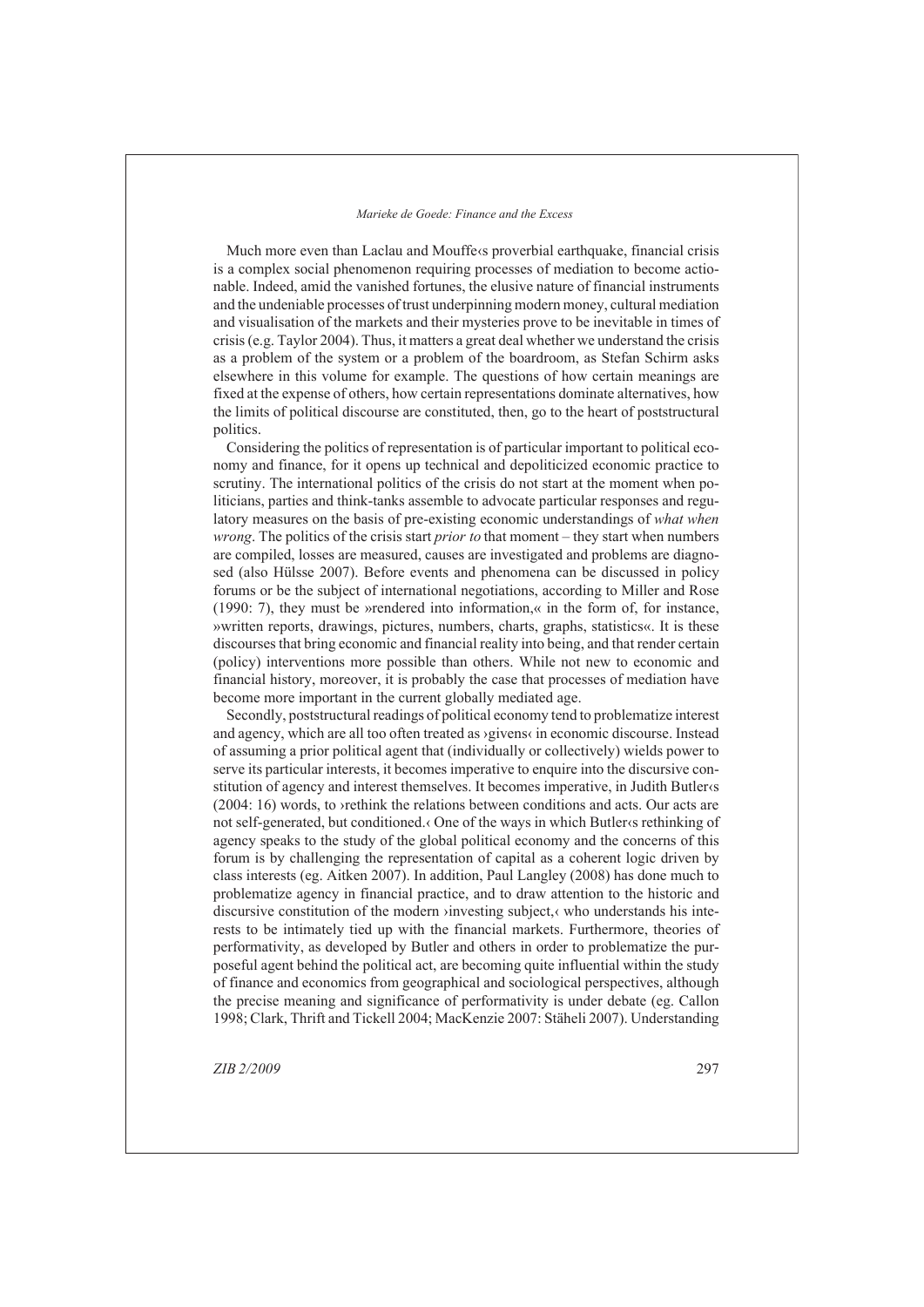Much more even than Laclau and Mouffe‹s proverbial earthquake, financial crisis is a complex social phenomenon requiring processes of mediation to become actionable. Indeed, amid the vanished fortunes, the elusive nature of financial instruments and the undeniable processes of trust underpinning modern money, cultural mediation and visualisation of the markets and their mysteries prove to be inevitable in times of crisis (e.g. Taylor 2004). Thus, it matters a great deal whether we understand the crisis as a problem of the system or a problem of the boardroom, as Stefan Schirm asks elsewhere in this volume for example. The questions of how certain meanings are fixed at the expense of others, how certain representations dominate alternatives, how the limits of political discourse are constituted, then, go to the heart of poststructural politics.

Considering the politics of representation is of particular important to political economy and finance, for it opens up technical and depoliticized economic practice to scrutiny. The international politics of the crisis do not start at the moment when politicians, parties and think-tanks assemble to advocate particular responses and regulatory measures on the basis of pre-existing economic understandings of *what when wrong*. The politics of the crisis start *prior to* that moment – they start when numbers are compiled, losses are measured, causes are investigated and problems are diagnosed (also Hülsse 2007). Before events and phenomena can be discussed in policy forums or be the subject of international negotiations, according to Miller and Rose (1990: 7), they must be »rendered into information,« in the form of, for instance, »written reports, drawings, pictures, numbers, charts, graphs, statistics«. It is these discourses that bring economic and financial reality into being, and that render certain (policy) interventions more possible than others. While not new to economic and financial history, moreover, it is probably the case that processes of mediation have become more important in the current globally mediated age.

Secondly, poststructural readings of political economy tend to problematize interest and agency, which are all too often treated as ›givens‹ in economic discourse. Instead of assuming a prior political agent that (individually or collectively) wields power to serve its particular interests, it becomes imperative to enquire into the discursive constitution of agency and interest themselves. It becomes imperative, in Judith Butler‹s (2004: 16) words, to ›rethink the relations between conditions and acts. Our acts are not self-generated, but conditioned.‹ One of the ways in which Butler‹s rethinking of agency speaks to the study of the global political economy and the concerns of this forum is by challenging the representation of capital as a coherent logic driven by class interests (eg. Aitken 2007). In addition, Paul Langley (2008) has done much to problematize agency in financial practice, and to draw attention to the historic and discursive constitution of the modern ›investing subject,‹ who understands his interests to be intimately tied up with the financial markets. Furthermore, theories of performativity, as developed by Butler and others in order to problematize the purposeful agent behind the political act, are becoming quite influential within the study of finance and economics from geographical and sociological perspectives, although the precise meaning and significance of performativity is under debate (eg. Callon 1998; Clark, Thrift and Tickell 2004; MacKenzie 2007: Stäheli 2007). Understanding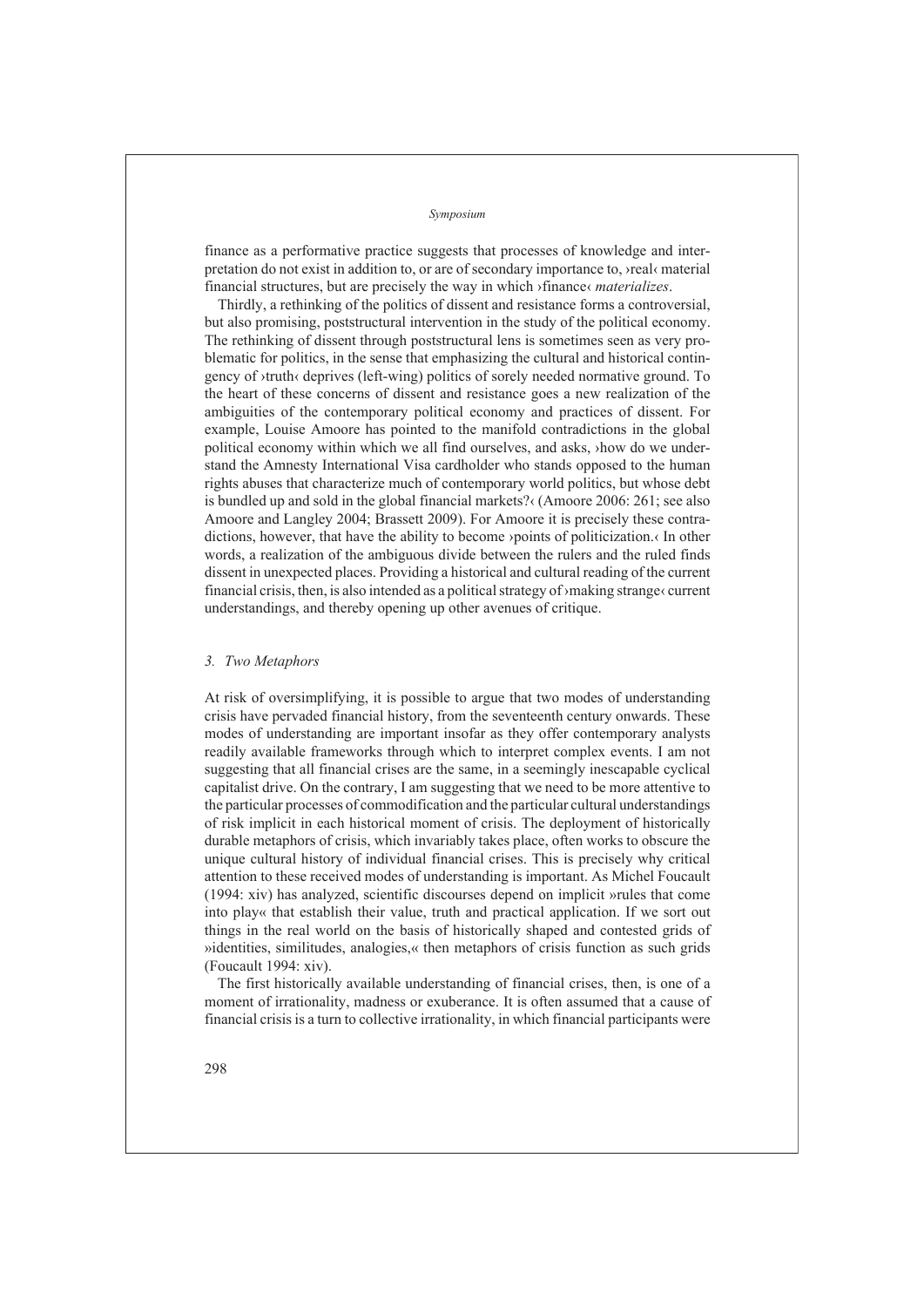finance as a performative practice suggests that processes of knowledge and interpretation do not exist in addition to, or are of secondary importance to, ›real‹ material financial structures, but are precisely the way in which ›finance‹ *materializes*.

Thirdly, a rethinking of the politics of dissent and resistance forms a controversial, but also promising, poststructural intervention in the study of the political economy. The rethinking of dissent through poststructural lens is sometimes seen as very problematic for politics, in the sense that emphasizing the cultural and historical contingency of ›truth‹ deprives (left-wing) politics of sorely needed normative ground. To the heart of these concerns of dissent and resistance goes a new realization of the ambiguities of the contemporary political economy and practices of dissent. For example, Louise Amoore has pointed to the manifold contradictions in the global political economy within which we all find ourselves, and asks, ›how do we understand the Amnesty International Visa cardholder who stands opposed to the human rights abuses that characterize much of contemporary world politics, but whose debt is bundled up and sold in the global financial markets?‹ (Amoore 2006: 261; see also Amoore and Langley 2004; Brassett 2009). For Amoore it is precisely these contradictions, however, that have the ability to become ›points of politicization.‹ In other words, a realization of the ambiguous divide between the rulers and the ruled finds dissent in unexpected places. Providing a historical and cultural reading of the current financial crisis, then, is also intended as a political strategy of ›making strange‹ current understandings, and thereby opening up other avenues of critique.

### *Two Metaphors 3.*

At risk of oversimplifying, it is possible to argue that two modes of understanding crisis have pervaded financial history, from the seventeenth century onwards. These modes of understanding are important insofar as they offer contemporary analysts readily available frameworks through which to interpret complex events. I am not suggesting that all financial crises are the same, in a seemingly inescapable cyclical capitalist drive. On the contrary, I am suggesting that we need to be more attentive to the particular processes of commodification and the particular cultural understandings of risk implicit in each historical moment of crisis. The deployment of historically durable metaphors of crisis, which invariably takes place, often works to obscure the unique cultural history of individual financial crises. This is precisely why critical attention to these received modes of understanding is important. As Michel Foucault (1994: xiv) has analyzed, scientific discourses depend on implicit »rules that come into play« that establish their value, truth and practical application. If we sort out things in the real world on the basis of historically shaped and contested grids of »identities, similitudes, analogies,« then metaphors of crisis function as such grids (Foucault 1994: xiv).

The first historically available understanding of financial crises, then, is one of a moment of irrationality, madness or exuberance. It is often assumed that a cause of financial crisis is a turn to collective irrationality, in which financial participants were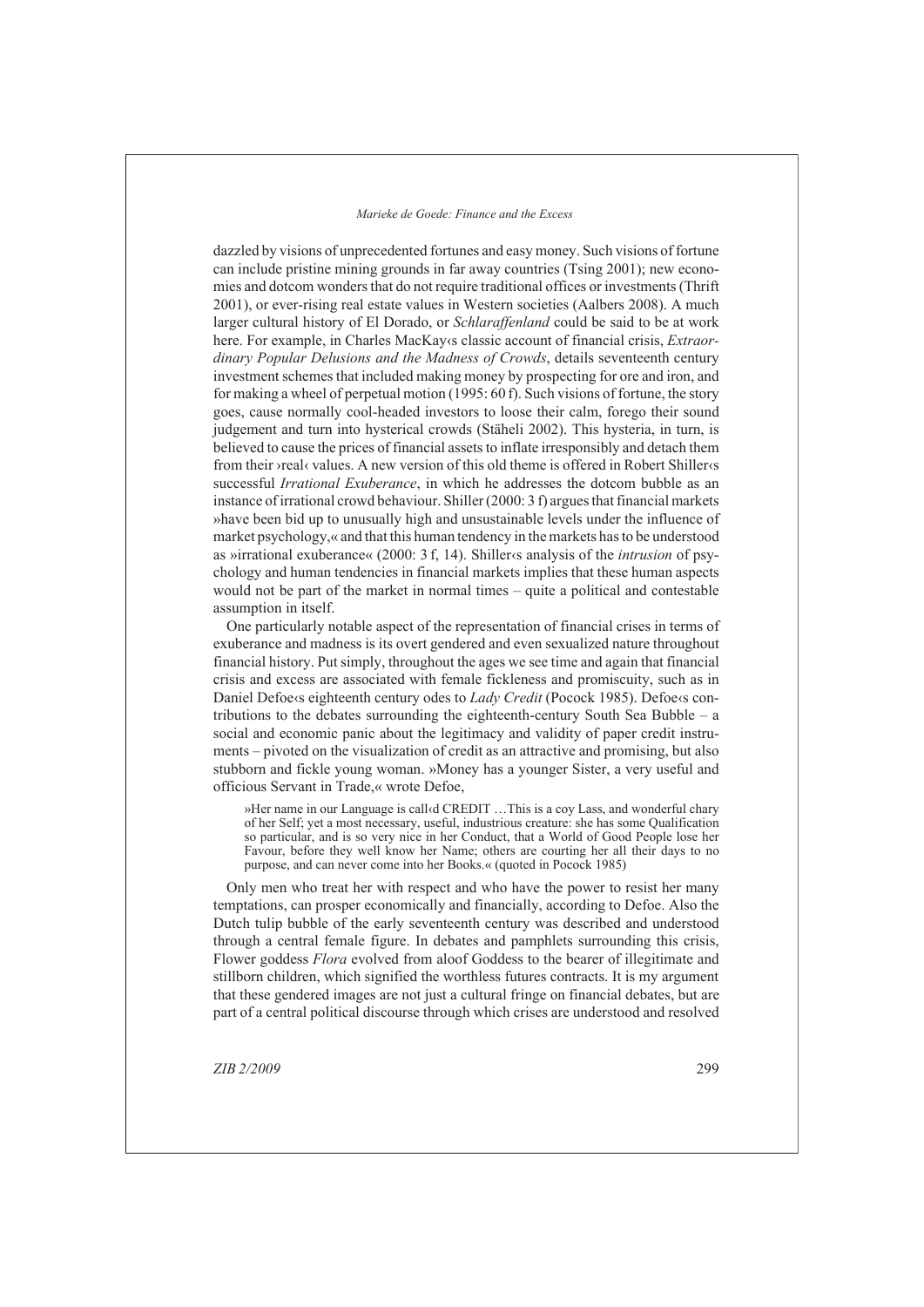dazzled by visions of unprecedented fortunes and easy money. Such visions of fortune can include pristine mining grounds in far away countries (Tsing 2001); new economies and dotcom wonders that do not require traditional offices or investments (Thrift 2001), or ever-rising real estate values in Western societies (Aalbers 2008). A much larger cultural history of El Dorado, or *Schlaraffenland* could be said to be at work here. For example, in Charles MacKay‹s classic account of financial crisis, *Extraordinary Popular Delusions and the Madness of Crowds*, details seventeenth century investment schemes that included making money by prospecting for ore and iron, and for making a wheel of perpetual motion (1995: 60 f). Such visions of fortune, the story goes, cause normally cool-headed investors to loose their calm, forego their sound judgement and turn into hysterical crowds (Stäheli 2002). This hysteria, in turn, is believed to cause the prices of financial assets to inflate irresponsibly and detach them from their ›real‹ values. A new version of this old theme is offered in Robert Shiller‹s successful *Irrational Exuberance*, in which he addresses the dotcom bubble as an instance of irrational crowd behaviour. Shiller (2000: 3 f) argues that financial markets »have been bid up to unusually high and unsustainable levels under the influence of market psychology,« and that this human tendency in the markets has to be understood as »irrational exuberance« (2000: 3 f, 14). Shiller‹s analysis of the *intrusion* of psychology and human tendencies in financial markets implies that these human aspects would not be part of the market in normal times – quite a political and contestable assumption in itself.

One particularly notable aspect of the representation of financial crises in terms of exuberance and madness is its overt gendered and even sexualized nature throughout financial history. Put simply, throughout the ages we see time and again that financial crisis and excess are associated with female fickleness and promiscuity, such as in Daniel Defoe<sub>s</sub> eighteenth century odes to *Lady Credit* (Pocock 1985). Defoess contributions to the debates surrounding the eighteenth-century South Sea Bubble – a social and economic panic about the legitimacy and validity of paper credit instruments – pivoted on the visualization of credit as an attractive and promising, but also stubborn and fickle young woman. »Money has a younger Sister, a very useful and officious Servant in Trade,« wrote Defoe,

»Her name in our Language is call‹d CREDIT …This is a coy Lass, and wonderful chary of her Self; yet a most necessary, useful, industrious creature: she has some Qualification so particular, and is so very nice in her Conduct, that a World of Good People lose her Favour, before they well know her Name; others are courting her all their days to no purpose, and can never come into her Books.« (quoted in Pocock 1985)

Only men who treat her with respect and who have the power to resist her many temptations, can prosper economically and financially, according to Defoe. Also the Dutch tulip bubble of the early seventeenth century was described and understood through a central female figure. In debates and pamphlets surrounding this crisis, Flower goddess *Flora* evolved from aloof Goddess to the bearer of illegitimate and stillborn children, which signified the worthless futures contracts. It is my argument that these gendered images are not just a cultural fringe on financial debates, but are part of a central political discourse through which crises are understood and resolved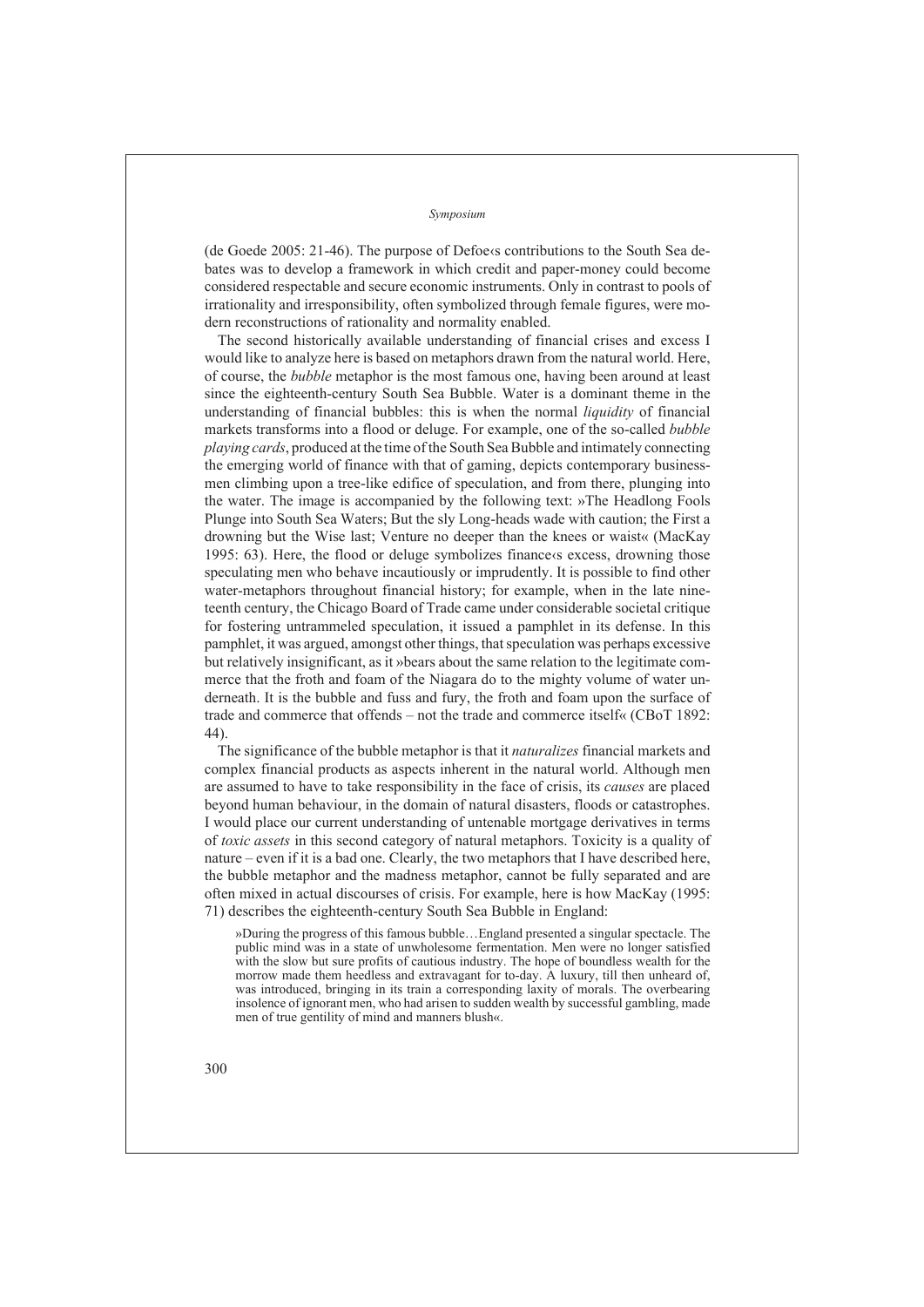(de Goede 2005: 21-46). The purpose of Defoeks contributions to the South Sea debates was to develop a framework in which credit and paper-money could become considered respectable and secure economic instruments. Only in contrast to pools of irrationality and irresponsibility, often symbolized through female figures, were modern reconstructions of rationality and normality enabled.

The second historically available understanding of financial crises and excess I would like to analyze here is based on metaphors drawn from the natural world. Here, of course, the *bubble* metaphor is the most famous one, having been around at least since the eighteenth-century South Sea Bubble. Water is a dominant theme in the understanding of financial bubbles: this is when the normal *liquidity* of financial markets transforms into a flood or deluge. For example, one of the so-called *bubble playing cards*, produced at the time of the South Sea Bubble and intimately connecting the emerging world of finance with that of gaming, depicts contemporary businessmen climbing upon a tree-like edifice of speculation, and from there, plunging into the water. The image is accompanied by the following text: »The Headlong Fools Plunge into South Sea Waters; But the sly Long-heads wade with caution; the First a drowning but the Wise last; Venture no deeper than the knees or waist« (MacKay 1995: 63). Here, the flood or deluge symbolizes finances excess, drowning those speculating men who behave incautiously or imprudently. It is possible to find other water-metaphors throughout financial history; for example, when in the late nineteenth century, the Chicago Board of Trade came under considerable societal critique for fostering untrammeled speculation, it issued a pamphlet in its defense. In this pamphlet, it was argued, amongst other things, that speculation was perhaps excessive but relatively insignificant, as it »bears about the same relation to the legitimate commerce that the froth and foam of the Niagara do to the mighty volume of water underneath. It is the bubble and fuss and fury, the froth and foam upon the surface of trade and commerce that offends – not the trade and commerce itself« (CBoT 1892: 44).

The significance of the bubble metaphor is that it *naturalizes* financial markets and complex financial products as aspects inherent in the natural world. Although men are assumed to have to take responsibility in the face of crisis, its *causes* are placed beyond human behaviour, in the domain of natural disasters, floods or catastrophes. I would place our current understanding of untenable mortgage derivatives in terms of *toxic assets* in this second category of natural metaphors. Toxicity is a quality of nature – even if it is a bad one. Clearly, the two metaphors that I have described here, the bubble metaphor and the madness metaphor, cannot be fully separated and are often mixed in actual discourses of crisis. For example, here is how MacKay (1995: 71) describes the eighteenth-century South Sea Bubble in England:

»During the progress of this famous bubble…England presented a singular spectacle. The public mind was in a state of unwholesome fermentation. Men were no longer satisfied with the slow but sure profits of cautious industry. The hope of boundless wealth for the morrow made them heedless and extravagant for to-day. A luxury, till then unheard of, was introduced, bringing in its train a corresponding laxity of morals. The overbearing insolence of ignorant men, who had arisen to sudden wealth by successful gambling, made men of true gentility of mind and manners blush«.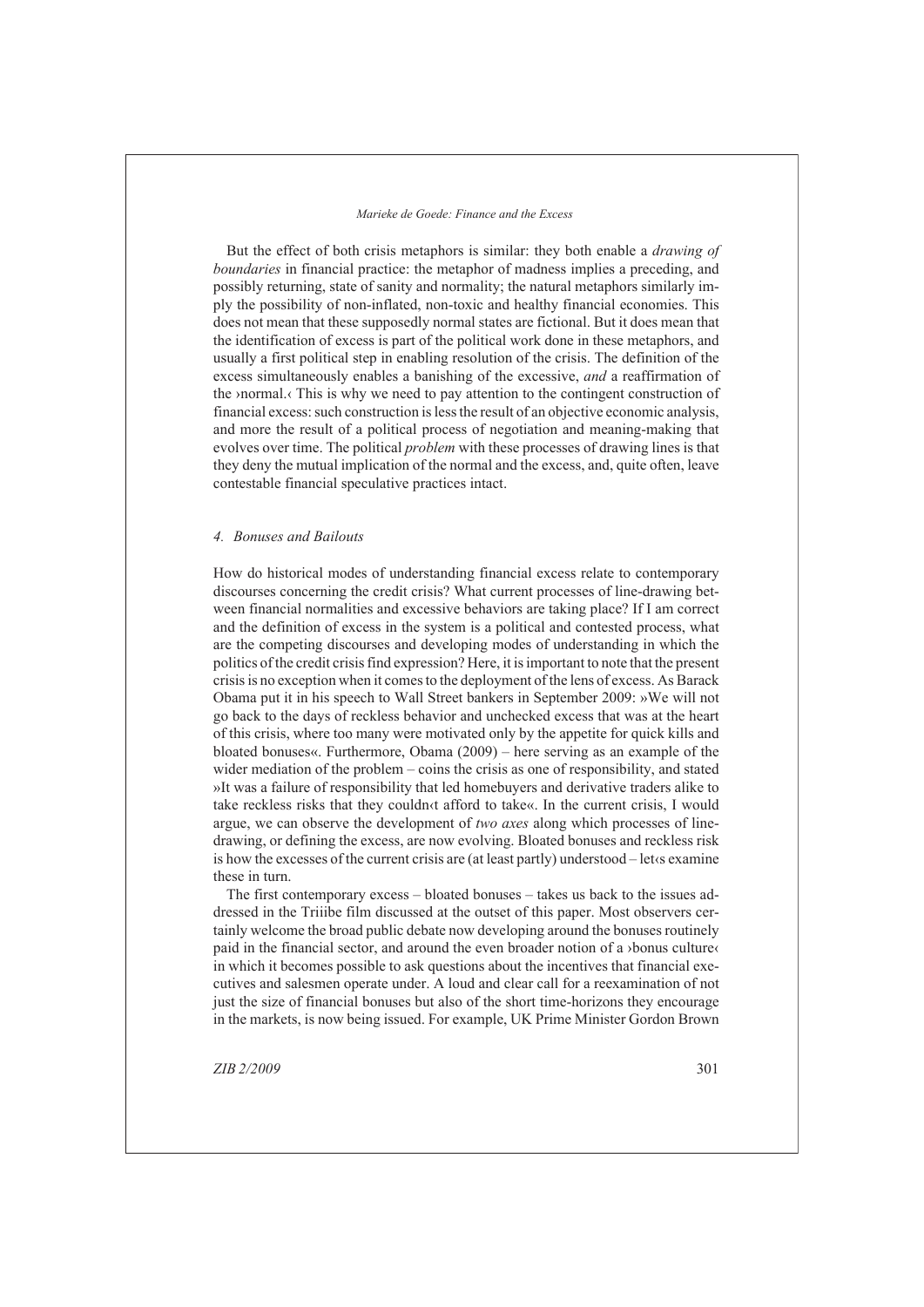But the effect of both crisis metaphors is similar: they both enable a *drawing of boundaries* in financial practice: the metaphor of madness implies a preceding, and possibly returning, state of sanity and normality; the natural metaphors similarly imply the possibility of non-inflated, non-toxic and healthy financial economies. This does not mean that these supposedly normal states are fictional. But it does mean that the identification of excess is part of the political work done in these metaphors, and usually a first political step in enabling resolution of the crisis. The definition of the excess simultaneously enables a banishing of the excessive, *and* a reaffirmation of the ›normal.‹ This is why we need to pay attention to the contingent construction of financial excess: such construction is less the result of an objective economic analysis, and more the result of a political process of negotiation and meaning-making that evolves over time. The political *problem* with these processes of drawing lines is that they deny the mutual implication of the normal and the excess, and, quite often, leave contestable financial speculative practices intact.

### *Bonuses and Bailouts 4.*

How do historical modes of understanding financial excess relate to contemporary discourses concerning the credit crisis? What current processes of line-drawing between financial normalities and excessive behaviors are taking place? If I am correct and the definition of excess in the system is a political and contested process, what are the competing discourses and developing modes of understanding in which the politics of the credit crisis find expression? Here, it is important to note that the present crisis is no exception when it comes to the deployment of the lens of excess. As Barack Obama put it in his speech to Wall Street bankers in September 2009: »We will not go back to the days of reckless behavior and unchecked excess that was at the heart of this crisis, where too many were motivated only by the appetite for quick kills and bloated bonuses«. Furthermore, Obama (2009) – here serving as an example of the wider mediation of the problem – coins the crisis as one of responsibility, and stated »It was a failure of responsibility that led homebuyers and derivative traders alike to take reckless risks that they couldn‹t afford to take«. In the current crisis, I would argue, we can observe the development of *two axes* along which processes of linedrawing, or defining the excess, are now evolving. Bloated bonuses and reckless risk is how the excesses of the current crisis are (at least partly) understood – let‹s examine these in turn.

The first contemporary excess – bloated bonuses – takes us back to the issues addressed in the Triiibe film discussed at the outset of this paper. Most observers certainly welcome the broad public debate now developing around the bonuses routinely paid in the financial sector, and around the even broader notion of a ›bonus culture‹ in which it becomes possible to ask questions about the incentives that financial executives and salesmen operate under. A loud and clear call for a reexamination of not just the size of financial bonuses but also of the short time-horizons they encourage in the markets, is now being issued. For example, UK Prime Minister Gordon Brown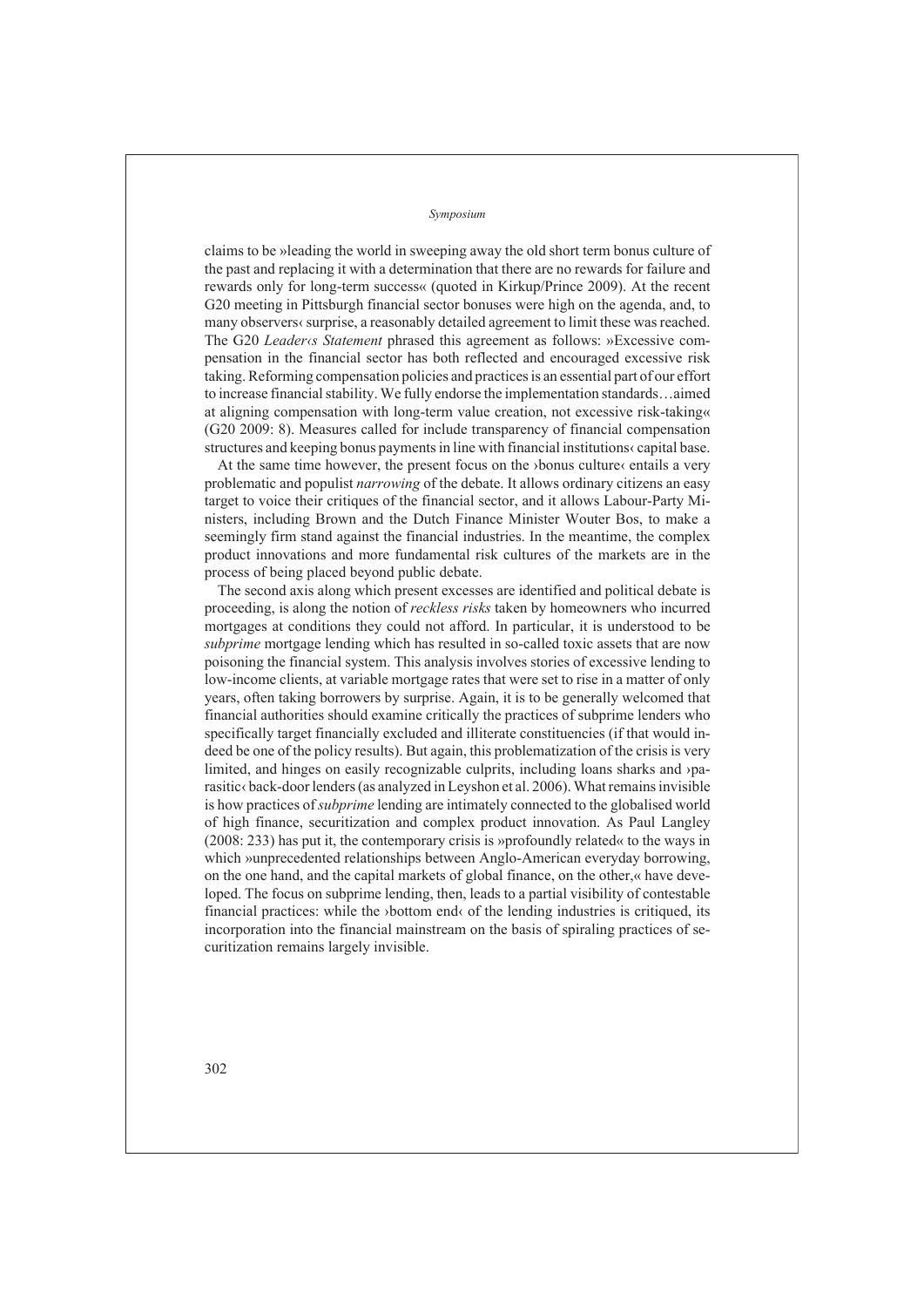claims to be »leading the world in sweeping away the old short term bonus culture of the past and replacing it with a determination that there are no rewards for failure and rewards only for long-term success« (quoted in Kirkup/Prince 2009). At the recent G20 meeting in Pittsburgh financial sector bonuses were high on the agenda, and, to many observers‹ surprise, a reasonably detailed agreement to limit these was reached. The G20 *Leader‹s Statement* phrased this agreement as follows: »Excessive compensation in the financial sector has both reflected and encouraged excessive risk taking. Reforming compensation policies and practices is an essential part of our effort to increase financial stability. We fully endorse the implementation standards…aimed at aligning compensation with long-term value creation, not excessive risk-taking« (G20 2009: 8). Measures called for include transparency of financial compensation structures and keeping bonus payments in line with financial institutions‹ capital base.

At the same time however, the present focus on the ›bonus culture‹ entails a very problematic and populist *narrowing* of the debate. It allows ordinary citizens an easy target to voice their critiques of the financial sector, and it allows Labour-Party Ministers, including Brown and the Dutch Finance Minister Wouter Bos, to make a seemingly firm stand against the financial industries. In the meantime, the complex product innovations and more fundamental risk cultures of the markets are in the process of being placed beyond public debate.

The second axis along which present excesses are identified and political debate is proceeding, is along the notion of *reckless risks* taken by homeowners who incurred mortgages at conditions they could not afford. In particular, it is understood to be *subprime* mortgage lending which has resulted in so-called toxic assets that are now poisoning the financial system. This analysis involves stories of excessive lending to low-income clients, at variable mortgage rates that were set to rise in a matter of only years, often taking borrowers by surprise. Again, it is to be generally welcomed that financial authorities should examine critically the practices of subprime lenders who specifically target financially excluded and illiterate constituencies (if that would indeed be one of the policy results). But again, this problematization of the crisis is very limited, and hinges on easily recognizable culprits, including loans sharks and ›parasitic‹ back-door lenders (as analyzed in Leyshon et al. 2006). What remains invisible is how practices of *subprime* lending are intimately connected to the globalised world of high finance, securitization and complex product innovation. As Paul Langley (2008: 233) has put it, the contemporary crisis is »profoundly related« to the ways in which »unprecedented relationships between Anglo-American everyday borrowing, on the one hand, and the capital markets of global finance, on the other,« have developed. The focus on subprime lending, then, leads to a partial visibility of contestable financial practices: while the ›bottom end‹ of the lending industries is critiqued, its incorporation into the financial mainstream on the basis of spiraling practices of securitization remains largely invisible.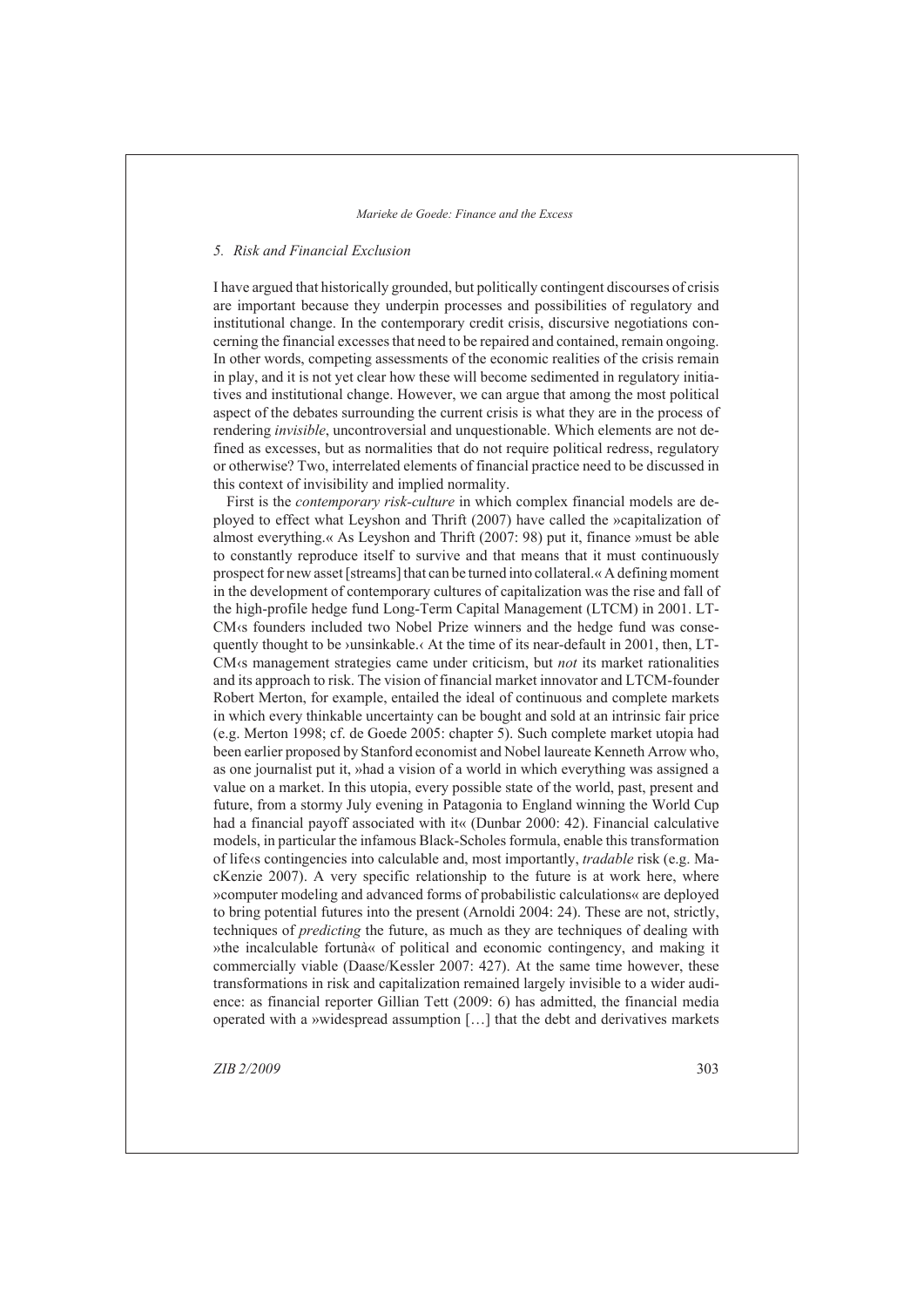### *Risk and Financial Exclusion 5.*

I have argued that historically grounded, but politically contingent discourses of crisis are important because they underpin processes and possibilities of regulatory and institutional change. In the contemporary credit crisis, discursive negotiations concerning the financial excesses that need to be repaired and contained, remain ongoing. In other words, competing assessments of the economic realities of the crisis remain in play, and it is not yet clear how these will become sedimented in regulatory initiatives and institutional change. However, we can argue that among the most political aspect of the debates surrounding the current crisis is what they are in the process of rendering *invisible*, uncontroversial and unquestionable. Which elements are not defined as excesses, but as normalities that do not require political redress, regulatory or otherwise? Two, interrelated elements of financial practice need to be discussed in this context of invisibility and implied normality.

First is the *contemporary risk-culture* in which complex financial models are deployed to effect what Leyshon and Thrift (2007) have called the »capitalization of almost everything.« As Leyshon and Thrift (2007: 98) put it, finance »must be able to constantly reproduce itself to survive and that means that it must continuously prospect for new asset [streams] that can be turned into collateral.« A defining moment in the development of contemporary cultures of capitalization was the rise and fall of the high-profile hedge fund Long-Term Capital Management (LTCM) in 2001. LT-CM‹s founders included two Nobel Prize winners and the hedge fund was consequently thought to be >unsinkable. $\triangle$  At the time of its near-default in 2001, then, LT-CM‹s management strategies came under criticism, but *not* its market rationalities and its approach to risk. The vision of financial market innovator and LTCM-founder Robert Merton, for example, entailed the ideal of continuous and complete markets in which every thinkable uncertainty can be bought and sold at an intrinsic fair price (e.g. Merton 1998; cf. de Goede 2005: chapter 5). Such complete market utopia had been earlier proposed by Stanford economist and Nobel laureate Kenneth Arrow who, as one journalist put it, »had a vision of a world in which everything was assigned a value on a market. In this utopia, every possible state of the world, past, present and future, from a stormy July evening in Patagonia to England winning the World Cup had a financial payoff associated with it« (Dunbar 2000: 42). Financial calculative models, in particular the infamous Black-Scholes formula, enable this transformation of life‹s contingencies into calculable and, most importantly, *tradable* risk (e.g. MacKenzie 2007). A very specific relationship to the future is at work here, where »computer modeling and advanced forms of probabilistic calculations« are deployed to bring potential futures into the present (Arnoldi 2004: 24). These are not, strictly, techniques of *predicting* the future, as much as they are techniques of dealing with »the incalculable fortunà« of political and economic contingency, and making it commercially viable (Daase/Kessler 2007: 427). At the same time however, these transformations in risk and capitalization remained largely invisible to a wider audience: as financial reporter Gillian Tett (2009: 6) has admitted, the financial media operated with a »widespread assumption […] that the debt and derivatives markets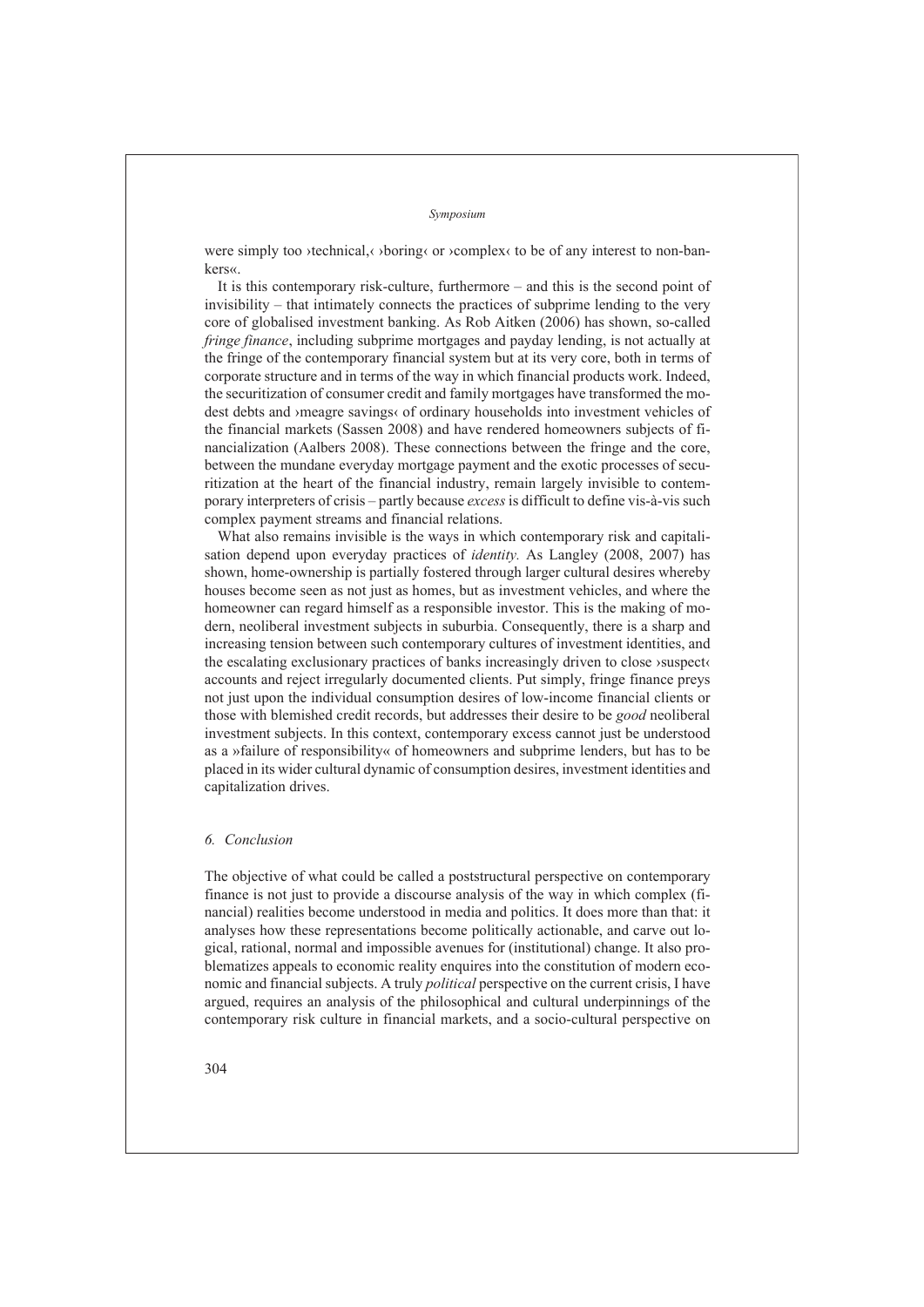were simply too ›technical, ›boring‹ or ›complex‹ to be of any interest to non-bankers«.

It is this contemporary risk-culture, furthermore – and this is the second point of invisibility – that intimately connects the practices of subprime lending to the very core of globalised investment banking. As Rob Aitken (2006) has shown, so-called *fringe finance*, including subprime mortgages and payday lending, is not actually at the fringe of the contemporary financial system but at its very core, both in terms of corporate structure and in terms of the way in which financial products work. Indeed, the securitization of consumer credit and family mortgages have transformed the modest debts and ›meagre savings‹ of ordinary households into investment vehicles of the financial markets (Sassen 2008) and have rendered homeowners subjects of financialization (Aalbers 2008). These connections between the fringe and the core, between the mundane everyday mortgage payment and the exotic processes of securitization at the heart of the financial industry, remain largely invisible to contemporary interpreters of crisis – partly because *excess* is difficult to define vis-à-vis such complex payment streams and financial relations.

What also remains invisible is the ways in which contemporary risk and capitalisation depend upon everyday practices of *identity.* As Langley (2008, 2007) has shown, home-ownership is partially fostered through larger cultural desires whereby houses become seen as not just as homes, but as investment vehicles, and where the homeowner can regard himself as a responsible investor. This is the making of modern, neoliberal investment subjects in suburbia. Consequently, there is a sharp and increasing tension between such contemporary cultures of investment identities, and the escalating exclusionary practices of banks increasingly driven to close ›suspect‹ accounts and reject irregularly documented clients. Put simply, fringe finance preys not just upon the individual consumption desires of low-income financial clients or those with blemished credit records, but addresses their desire to be *good* neoliberal investment subjects. In this context, contemporary excess cannot just be understood as a »failure of responsibility« of homeowners and subprime lenders, but has to be placed in its wider cultural dynamic of consumption desires, investment identities and capitalization drives.

## *Conclusion 6.*

The objective of what could be called a poststructural perspective on contemporary finance is not just to provide a discourse analysis of the way in which complex (financial) realities become understood in media and politics. It does more than that: it analyses how these representations become politically actionable, and carve out logical, rational, normal and impossible avenues for (institutional) change. It also problematizes appeals to economic reality enquires into the constitution of modern economic and financial subjects. A truly *political* perspective on the current crisis, I have argued, requires an analysis of the philosophical and cultural underpinnings of the contemporary risk culture in financial markets, and a socio-cultural perspective on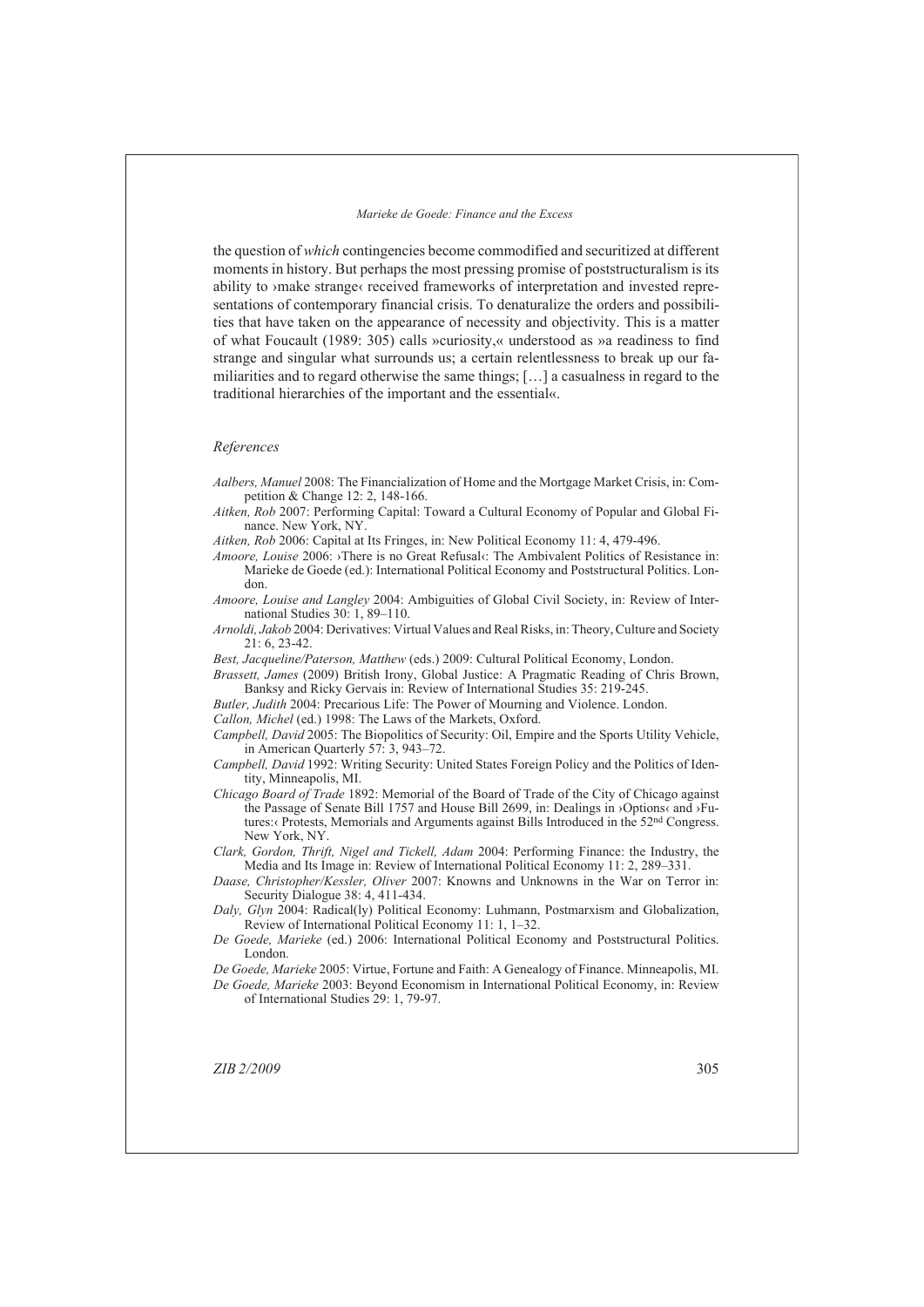the question of *which* contingencies become commodified and securitized at different moments in history. But perhaps the most pressing promise of poststructuralism is its ability to ›make strange‹ received frameworks of interpretation and invested representations of contemporary financial crisis. To denaturalize the orders and possibilities that have taken on the appearance of necessity and objectivity. This is a matter of what Foucault (1989: 305) calls »curiosity,« understood as »a readiness to find strange and singular what surrounds us; a certain relentlessness to break up our familiarities and to regard otherwise the same things; […] a casualness in regard to the traditional hierarchies of the important and the essential«.

#### *References*

- *Aalbers, Manuel* 2008: The Financialization of Home and the Mortgage Market Crisis, in: Competition & Change 12: 2, 148-166.
- *Aitken, Rob* 2007: Performing Capital: Toward a Cultural Economy of Popular and Global Finance. New York, NY.

*Aitken, Rob* 2006: Capital at Its Fringes, in: New Political Economy 11: 4, 479-496.

- *Amoore, Louise* 2006: >There is no Great Refusal<br/> $\epsilon$ : The Ambivalent Politics of Resistance in: Marieke de Goede (ed.): International Political Economy and Poststructural Politics. London.
- *Amoore, Louise and Langley* 2004: Ambiguities of Global Civil Society, in: Review of International Studies 30: 1, 89–110.
- *Arnoldi, Jakob* 2004: Derivatives: Virtual Values and Real Risks, in: Theory, Culture and Society 21: 6, 23-42.

*Best, Jacqueline/Paterson, Matthew* (eds.) 2009: Cultural Political Economy, London.

*Brassett, James* (2009) British Irony, Global Justice: A Pragmatic Reading of Chris Brown, Banksy and Ricky Gervais in: Review of International Studies 35: 219-245.

*Butler, Judith* 2004: Precarious Life: The Power of Mourning and Violence. London.

*Callon, Michel* (ed.) 1998: The Laws of the Markets, Oxford.

*Campbell, David* 2005: The Biopolitics of Security: Oil, Empire and the Sports Utility Vehicle, in American Quarterly 57: 3, 943–72.

*Campbell, David* 1992: Writing Security: United States Foreign Policy and the Politics of Identity, Minneapolis, MI.

*Chicago Board of Trade* 1892: Memorial of the Board of Trade of the City of Chicago against the Passage of Senate Bill 1757 and House Bill 2699, in: Dealings in ›Options‹ and ›Futures:‹ Protests, Memorials and Arguments against Bills Introduced in the 52nd Congress. New York, NY.

*Clark, Gordon, Thrift, Nigel and Tickell, Adam* 2004: Performing Finance: the Industry, the Media and Its Image in: Review of International Political Economy 11: 2, 289–331.

*Daase, Christopher/Kessler, Oliver* 2007: Knowns and Unknowns in the War on Terror in: Security Dialogue 38: 4, 411-434.

*Daly, Glyn* 2004: Radical(ly) Political Economy: Luhmann, Postmarxism and Globalization, Review of International Political Economy 11: 1, 1–32.

*De Goede, Marieke* (ed.) 2006: International Political Economy and Poststructural Politics. London.

*De Goede, Marieke* 2005: Virtue, Fortune and Faith: A Genealogy of Finance. Minneapolis, MI. *De Goede, Marieke* 2003: Beyond Economism in International Political Economy, in: Review of International Studies 29: 1, 79-97.